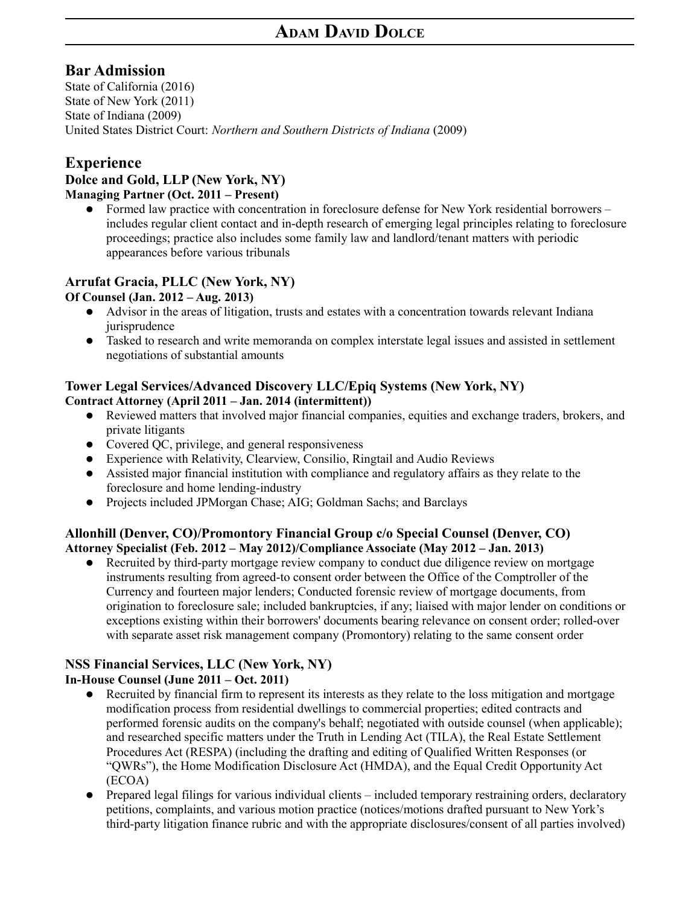# **Bar Admission**

State of California (2016) State of New York (2011) State of Indiana (2009) United States District Court: *Northern and Southern Districts of Indiana* (2009)

# **Experience**

### **Dolce and Gold, LLP (New York, NY) Managing Partner (Oct. 2011 – Present)**

 Formed law practice with concentration in foreclosure defense for New York residential borrowers – includes regular client contact and in-depth research of emerging legal principles relating to foreclosure proceedings; practice also includes some family law and landlord/tenant matters with periodic appearances before various tribunals

# **Arrufat Gracia, PLLC (New York, NY)**

### **Of Counsel (Jan. 2012 – Aug. 2013)**

- Advisor in the areas of litigation, trusts and estates with a concentration towards relevant Indiana iurisprudence
- Tasked to research and write memoranda on complex interstate legal issues and assisted in settlement negotiations of substantial amounts

### **Tower Legal Services/Advanced Discovery LLC/Epiq Systems (New York, NY) Contract Attorney (April 2011 – Jan. 2014 (intermittent))**

- Reviewed matters that involved major financial companies, equities and exchange traders, brokers, and private litigants
- Covered OC, privilege, and general responsiveness
- Experience with Relativity, Clearview, Consilio, Ringtail and Audio Reviews
- Assisted major financial institution with compliance and regulatory affairs as they relate to the foreclosure and home lending-industry
- Projects included JPMorgan Chase; AIG; Goldman Sachs; and Barclays

### **Allonhill (Denver, CO)/Promontory Financial Group c/o Special Counsel (Denver, CO) Attorney Specialist (Feb. 2012 – May 2012)/Compliance Associate (May 2012 – Jan. 2013)**

 Recruited by third-party mortgage review company to conduct due diligence review on mortgage instruments resulting from agreed-to consent order between the Office of the Comptroller of the Currency and fourteen major lenders; Conducted forensic review of mortgage documents, from origination to foreclosure sale; included bankruptcies, if any; liaised with major lender on conditions or exceptions existing within their borrowers' documents bearing relevance on consent order; rolled-over with separate asset risk management company (Promontory) relating to the same consent order

#### **NSS Financial Services, LLC (New York, NY) In-House Counsel (June 2011 – Oct. 2011)**

- Recruited by financial firm to represent its interests as they relate to the loss mitigation and mortgage modification process from residential dwellings to commercial properties; edited contracts and performed forensic audits on the company's behalf; negotiated with outside counsel (when applicable); and researched specific matters under the Truth in Lending Act (TILA), the Real Estate Settlement Procedures Act (RESPA) (including the drafting and editing of Qualified Written Responses (or "QWRs"), the Home Modification Disclosure Act (HMDA), and the Equal Credit Opportunity Act (ECOA)
- Prepared legal filings for various individual clients included temporary restraining orders, declaratory petitions, complaints, and various motion practice (notices/motions drafted pursuant to New York's third-party litigation finance rubric and with the appropriate disclosures/consent of all parties involved)